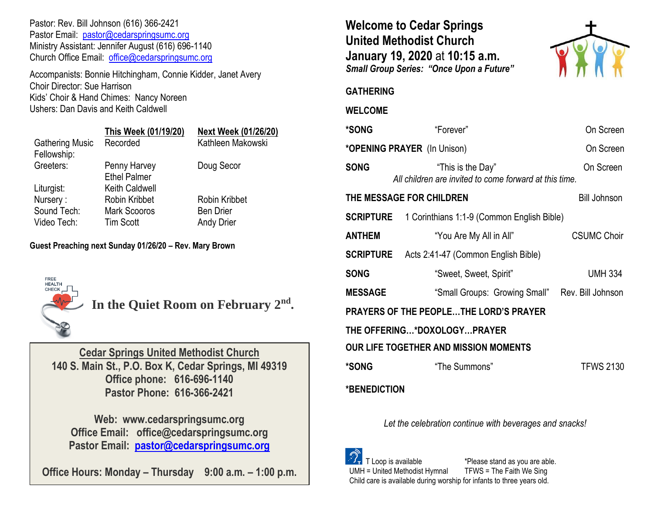Pastor: Rev. Bill Johnson (616) 366-2421 Pastor Email: [pastor@cedarspringsumc.org](mailto:pastor@cedarspringsumc.org) Ministry Assistant: Jennifer August (616) 696-1140 Church Office Email: [office@cedarspringsumc.org](mailto:office@cedarspringsumc.org)

Accompanists: Bonnie Hitchingham, Connie Kidder, Janet Avery Choir Director: Sue Harrison Kids' Choir & Hand Chimes: Nancy Noreen Ushers: Dan Davis and Keith Caldwell

# **This Week (01/19/20) Next Week (01/26/20)**

| Recorded                            | Kathleen Makowski    |
|-------------------------------------|----------------------|
| Penny Harvey<br><b>Ethel Palmer</b> | Doug Secor           |
| <b>Keith Caldwell</b>               |                      |
| <b>Robin Kribbet</b>                | <b>Robin Kribbet</b> |
| <b>Mark Scooros</b>                 | <b>Ben Drier</b>     |
| <b>Tim Scott</b>                    | <b>Andy Drier</b>    |
|                                     |                      |

### **Guest Preaching next Sunday 01/26/20 – Rev. Mary Brown**



**In the Quiet Room on February 2nd .** 

**Cedar Springs United Methodist Church 140 S. Main St., P.O. Box K, Cedar Springs, MI 49319 Office phone: 616-696-1140 Pastor Phone: 616-366-2421**

**Web: www.cedarspringsumc.org Office Email: office@cedarspringsumc.org Pastor Email: [pastor@cedarspringsumc.org](mailto:pastor@cedarspringsumc.org)**

**Office Hours: Monday – Thursday 9:00 a.m. – 1:00 p.m.**

**Welcome to Cedar Springs United Methodist Church January 19, 2020** at **10:15 a.m.**  *Small Group Series: "Once Upon a Future"*



## **GATHERING**

### **WELCOME**

| *SONG                                        | "Forever"                                                                   | On Screen          |  |  |
|----------------------------------------------|-----------------------------------------------------------------------------|--------------------|--|--|
| * <b>OPENING PRAYER</b> (In Unison)          |                                                                             | On Screen          |  |  |
| <b>SONG</b>                                  | "This is the Day"<br>All children are invited to come forward at this time. | On Screen          |  |  |
|                                              | THE MESSAGE FOR CHILDREN                                                    | Bill Johnson       |  |  |
| <b>SCRIPTURE</b>                             | 1 Corinthians 1:1-9 (Common English Bible)                                  |                    |  |  |
| <b>ANTHEM</b>                                | "You Are My All in All"                                                     | <b>CSUMC Choir</b> |  |  |
| <b>SCRIPTURE</b>                             | Acts 2:41-47 (Common English Bible)                                         |                    |  |  |
| <b>SONG</b>                                  | "Sweet, Sweet, Spirit"                                                      | <b>UMH 334</b>     |  |  |
| <b>MESSAGE</b>                               | "Small Groups: Growing Small" Rev. Bill Johnson                             |                    |  |  |
| PRAYERS OF THE PEOPLETHE LORD'S PRAYER       |                                                                             |                    |  |  |
| THE OFFERING*DOXOLOGYPRAYER                  |                                                                             |                    |  |  |
| <b>OUR LIFE TOGETHER AND MISSION MOMENTS</b> |                                                                             |                    |  |  |
| *SONG                                        | "The Summons"                                                               | <b>TFWS 2130</b>   |  |  |
| *BENEDICTION                                 |                                                                             |                    |  |  |

*Let the celebration continue with beverages and snacks!*

 T Loop is available \*Please stand as you are able. UMH = United Methodist Hymnal TFWS = The Faith We Sing Child care is available during worship for infants to three years old.